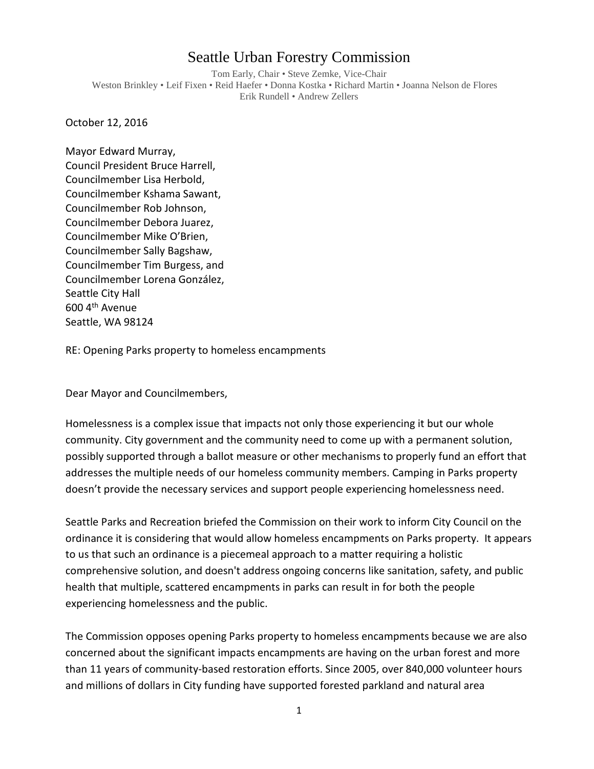## Seattle Urban Forestry Commission

Tom Early, Chair • Steve Zemke, Vice-Chair Weston Brinkley • Leif Fixen • Reid Haefer • Donna Kostka • Richard Martin • Joanna Nelson de Flores Erik Rundell • Andrew Zellers

October 12, 2016

Mayor Edward Murray, Council President Bruce Harrell, Councilmember Lisa Herbold, Councilmember Kshama Sawant, Councilmember Rob Johnson, Councilmember Debora Juarez, Councilmember Mike O'Brien, Councilmember Sally Bagshaw, Councilmember Tim Burgess, and Councilmember Lorena González, Seattle City Hall 600 4th Avenue Seattle, WA 98124

RE: Opening Parks property to homeless encampments

Dear Mayor and Councilmembers,

Homelessness is a complex issue that impacts not only those experiencing it but our whole community. City government and the community need to come up with a permanent solution, possibly supported through a ballot measure or other mechanisms to properly fund an effort that addresses the multiple needs of our homeless community members. Camping in Parks property doesn't provide the necessary services and support people experiencing homelessness need.

Seattle Parks and Recreation briefed the Commission on their work to inform City Council on the ordinance it is considering that would allow homeless encampments on Parks property. It appears to us that such an ordinance is a piecemeal approach to a matter requiring a holistic comprehensive solution, and doesn't address ongoing concerns like sanitation, safety, and public health that multiple, scattered encampments in parks can result in for both the people experiencing homelessness and the public.

The Commission opposes opening Parks property to homeless encampments because we are also concerned about the significant impacts encampments are having on the urban forest and more than 11 years of community-based restoration efforts. Since 2005, over 840,000 volunteer hours and millions of dollars in City funding have supported forested parkland and natural area